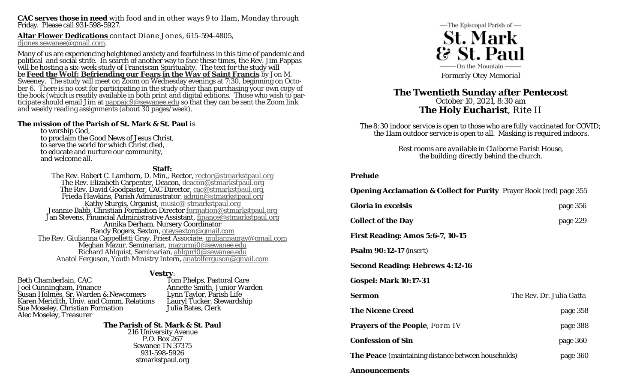**CAC serves those in need** with food and in other ways 9 to 11am, Monday through Friday. Please call 931-598-5927.

**Altar Flower Dedications** contact Diane Jones, 615-594-4805, djones.sewanee@gmail.com.

Many of us are experiencing heightened anxiety and fearfulness in this time of pandemic and<br>political and social strife. In search of another way to face these times, the Rev. Jim Pappas<br>will be hosting a six-week study of

#### **The mission of the Parish of St. Mark & St. Paul** is

to worship God, to proclaim the Good News of Jesus Christ, to serve the world for which Christ died, to educate and nurture our community, and welcome all.

#### **Staff:**

The Rev. Robert C. Lamborn, D. Min., Rector, rector@stmarkstpaul.org The Rev. Elizabeth Carpenter, Deacon, <u>deacon@stmarkstpaul.org</u><br>The Rev. David Goodpaster, CAC Director, <u>cac@stmarkstpaul.org</u><br>Frieda Hawkins, Parish Administrator, <u>admin@stmarkstpaul.org</u><br>Kathy Sturgis, Organist, <u>music</u> The Rev. Giulianna Cappelletti Gray, Priest Associate, giulianna Cappelletti Gray, Priest Associate, giuliannagray@gmail.com Meghan Mazur, Seminarian, mazurmj0@sewanee.edu Richard Ahlquist, Seminarian, ahlqurl0@sewanee.edu Anatol Ferguson, Youth Ministry Intern, anatolferguson@gmail.com

**Vestry:**<br>Beth Chamberlain, CAC **Tom Phelps, Pastoral Care**<br>Joel Cunningham, Finance **The Came Annette Smith, Junior Warden** Susan Holmes, Sr. Warden & Newcomers<br>
Karen Meridith, Univ. and Comm. Relations<br>
Sue Moseley, Christian Formation<br>
Alec Moseley, Treasurer<br>
Alec Moseley, Treasurer<br>
Alec Moseley, Treasurer

**The Parish of St. Mark & St. Paul** 216 University Avenue P.O. Box 267 Sewanee TN 37375 931-598-5926 stmarkstpaul.org



# **The Twentieth Sunday after Pentecost**  October 10, 2021, 8:30 am **The Holy Eucharist**, Rite II

*The 8:30 indoor service is open to those who are fully vaccinated for COVID; the 11am outdoor service is open to all. Masking is required indoors.* 

> *Rest rooms are available in Claiborne Parish House, the building directly behind the church.*

#### **Prelude**

| <b>Opening Acclamation &amp; Collect for Purity</b> Prayer Book (red) page 355 |                          |
|--------------------------------------------------------------------------------|--------------------------|
| <b>Gloria in excelsis</b>                                                      | page 356                 |
| <b>Collect of the Day</b>                                                      | page 229                 |
| <b>First Reading: Amos 5:6-7, 10-15</b>                                        |                          |
| <b>Psalm 90:12-17</b> ( <i>insert</i> )                                        |                          |
| <b>Second Reading: Hebrews 4:12-16</b>                                         |                          |
| <b>Gospel: Mark 10:17-31</b>                                                   |                          |
| Sermon                                                                         | The Rev. Dr. Julia Gatta |
| <b>The Nicene Creed</b>                                                        | page 358                 |
| <b>Prayers of the People, Form IV</b>                                          | page 388                 |
| <b>Confession of Sin</b>                                                       | page 360                 |
| <b>The Peace</b> (maintaining distance between households)                     | page 360                 |
| Announcements                                                                  |                          |